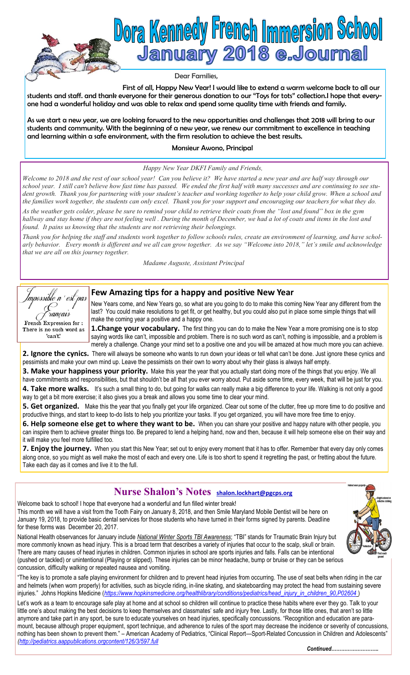

First of all, Happy New Year! I would like to extend a warm welcome back to all our students and staff. and thank everyone for their generous donation to our "Toys for tots" collection.I hope that everyone had a wonderful holiday and was able to relax and spend some quality time with friends and family.

As we start a new year, we are looking forward to the new opportunities and challenges that 2018 will bring to our students and community. With the beginning of a new year, we renew our commitment to excellence in teaching and learning within a safe environment, with the firm resolution to achieve the best results.

## Monsieur Awono, Principal

### *Happy New Year DKFI Family and Friends,*

*Welcome to 2018 and the rest of our school year! Can you believe it? We have started a new year and are half way through our school year. I still can't believe how fast time has passed. We ended the first half with many successes and are continuing to see student growth. Thank you for partnering with your student's teacher and working together to help your child grow. When a school and the families work together, the students can only excel. Thank you for your support and encouraging our teachers for what they do. As the weather gets colder, please be sure to remind your child to retrieve their coats from the "lost and found" box in the gym hallway and stay home if they are not feeling well . During the month of December, we had a lot of coats and items in the lost and found. It pains us knowing that the students are not retrieving their belongings.*

*Thank you for helping the staff and students work together to follow schools rules, create an environment of learning, and have scholarly behavior. Every month is different and we all can grow together. As we say "Welcome into 2018," let's smile and acknowledge that we are all on this journey together.*

*Madame Auguste, Assistant Principal*



# **Few Amazing tips for a happy and positive New Year**

New Years come, and New Years go, so what are you going to do to make this coming New Year any different from the last? You could make resolutions to get fit, or get healthy, but you could also put in place some simple things that will make the coming year a positive and a happy one.

**1. Change your vocabulary.** The first thing you can do to make the New Year a more promising one is to stop saying words like can't, impossible and problem. There is no such word as can't, nothing is impossible, and a problem is merely a challenge. Change your mind set to a positive one and you will be amazed at how much more you can achieve.

2. Ignore the cynics. There will always be someone who wants to run down your ideas or tell what can't be done. Just ignore these cynics and pessimists and make your own mind up. Leave the pessimists on their own to worry about why their glass is always half empty.

**3. Make your happiness your priority.** Make this year the year that you actually start doing more of the things that you enjoy. We all have commitments and responsibilities, but that shouldn't be all that you ever worry about. Put aside some time, every week, that will be just for you. 4. Take more walks. It's such a small thing to do, but going for walks can really make a big difference to your life. Walking is not only a good way to get a bit more exercise; it also gives you a break and allows you some time to clear your mind.

**5. Get organized.** Make this the year that you finally get your life organized. Clear out some of the clutter, free up more time to do positive and productive things, and start to keep to-do lists to help you prioritize your tasks. If you get organized, you will have more free time to enjoy.

**6. Help someone else get to where they want to be.** When you can share your positive and happy nature with other people, you can inspire them to achieve greater things too. Be prepared to lend a helping hand, now and then, because it will help someone else on their way and it will make you feel more fulfilled too.

**7. Enjoy the journey.** When you start this New Year; set out to enjoy every moment that it has to offer. Remember that every day only comes along once, so you might as well make the most of each and every one. Life is too short to spend it regretting the past, or fretting about the future. Take each day as it comes and live it to the full.

# **Nurse Shalon's Notes shalon.lockhart@pgcps.org**

Welcome back to school! I hope that everyone had a wonderful and fun filled winter break! This month we will have a visit from the Tooth Fairy on January 8, 2018, and then Smile Maryland Mobile Dentist will be here on January 19, 2018, to provide basic dental services for those students who have turned in their forms signed by parents. Deadline for these forms was December 20, 2017.

National Health observances for January include *National Winter Sports TBI Awareness*; "TBI" stands for Traumatic Brain Injury but more commonly known as head injury. This is a broad term that describes a variety of injuries that occur to the scalp, skull or brain. There are many causes of head injuries in children. Common injuries in school are sports injuries and falls. Falls can be intentional (pushed or tackled) or unintentional (Playing or slipped). These injuries can be minor headache, bump or bruise or they can be serious concussion, difficulty walking or repeated nausea and vomiting.

"The key is to promote a safe playing environment for children and to prevent head injuries from occurring. The use of seat belts when riding in the car and helmets (when worn properly) for activities, such as bicycle riding, in-line skating, and skateboarding may protect the head from sustaining severe injuries." Johns Hopkins Medicine (*[https://www.hopkinsmedicine.org/healthlibrary/conditions/pediatrics/head\\_injury\\_in\\_children\\_90,P02604](https://www.hopkinsmedicine.org/healthlibrary/conditions/pediatrics/head_injury_in_children_90,P02604)* )

Let's work as a team to encourage safe play at home and at school so children will continue to practice these habits where ever they go. Talk to your little one's about making the best decisions to keep themselves and classmates' safe and injury free. Lastly, for those little ones, that aren't so little anymore and take part in any sport, be sure to educate yourselves on head injuries, specifically concussions. "Recognition and education are paramount, because although proper equipment, sport technique, and adherence to rules of the sport may decrease the incidence or severity of concussions, nothing has been shown to prevent them." – American Academy of Pediatrics, "Clinical Report—Sport-Related Concussion in Children and Adolescents" *([http://pediatrics.aappublications.orgcontent/126/3/597.full](http://pediatrics.aappublications.org/content/126/3/597.full)*